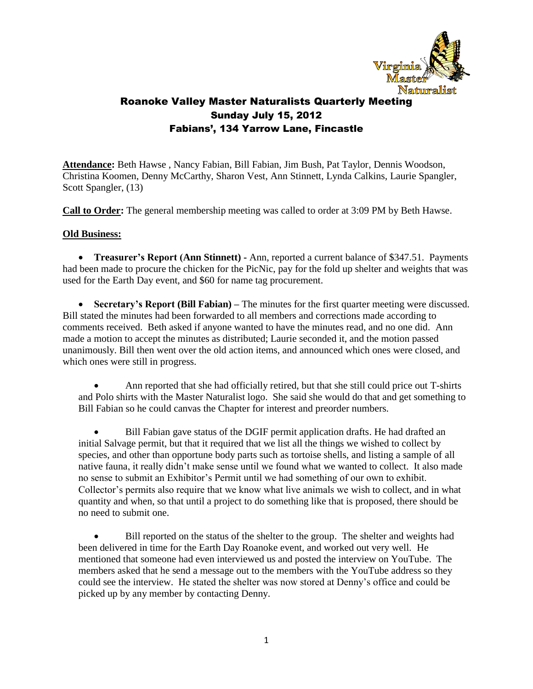

**Attendance:** Beth Hawse , Nancy Fabian, Bill Fabian, Jim Bush, Pat Taylor, Dennis Woodson, Christina Koomen, Denny McCarthy, Sharon Vest, Ann Stinnett, Lynda Calkins, Laurie Spangler, Scott Spangler, (13)

**Call to Order:** The general membership meeting was called to order at 3:09 PM by Beth Hawse.

#### **Old Business:**

 **Treasurer's Report (Ann Stinnett) -** Ann, reported a current balance of \$347.51. Payments had been made to procure the chicken for the PicNic, pay for the fold up shelter and weights that was used for the Earth Day event, and \$60 for name tag procurement.

 **Secretary's Report (Bill Fabian) –** The minutes for the first quarter meeting were discussed. Bill stated the minutes had been forwarded to all members and corrections made according to comments received. Beth asked if anyone wanted to have the minutes read, and no one did. Ann made a motion to accept the minutes as distributed; Laurie seconded it, and the motion passed unanimously. Bill then went over the old action items, and announced which ones were closed, and which ones were still in progress.

 Ann reported that she had officially retired, but that she still could price out T-shirts and Polo shirts with the Master Naturalist logo. She said she would do that and get something to Bill Fabian so he could canvas the Chapter for interest and preorder numbers.

 Bill Fabian gave status of the DGIF permit application drafts. He had drafted an initial Salvage permit, but that it required that we list all the things we wished to collect by species, and other than opportune body parts such as tortoise shells, and listing a sample of all native fauna, it really didn't make sense until we found what we wanted to collect. It also made no sense to submit an Exhibitor's Permit until we had something of our own to exhibit. Collector's permits also require that we know what live animals we wish to collect, and in what quantity and when, so that until a project to do something like that is proposed, there should be no need to submit one.

 Bill reported on the status of the shelter to the group. The shelter and weights had been delivered in time for the Earth Day Roanoke event, and worked out very well. He mentioned that someone had even interviewed us and posted the interview on YouTube. The members asked that he send a message out to the members with the YouTube address so they could see the interview. He stated the shelter was now stored at Denny's office and could be picked up by any member by contacting Denny.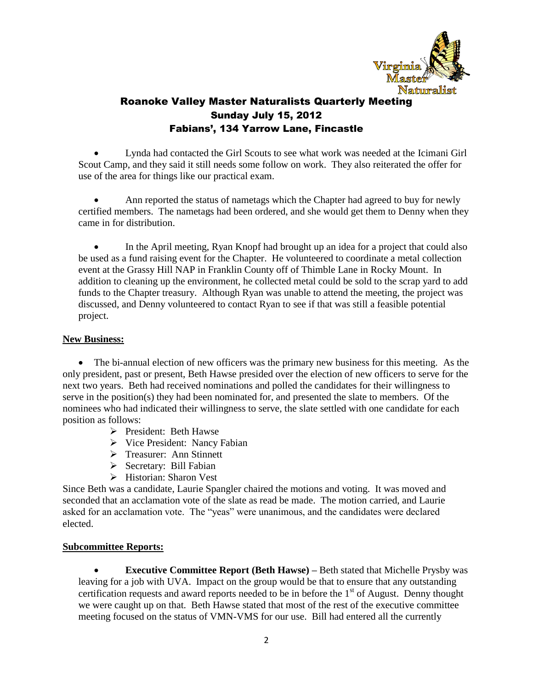

 Lynda had contacted the Girl Scouts to see what work was needed at the Icimani Girl Scout Camp, and they said it still needs some follow on work. They also reiterated the offer for use of the area for things like our practical exam.

 Ann reported the status of nametags which the Chapter had agreed to buy for newly certified members. The nametags had been ordered, and she would get them to Denny when they came in for distribution.

• In the April meeting, Ryan Knopf had brought up an idea for a project that could also be used as a fund raising event for the Chapter. He volunteered to coordinate a metal collection event at the Grassy Hill NAP in Franklin County off of Thimble Lane in Rocky Mount. In addition to cleaning up the environment, he collected metal could be sold to the scrap yard to add funds to the Chapter treasury. Although Ryan was unable to attend the meeting, the project was discussed, and Denny volunteered to contact Ryan to see if that was still a feasible potential project.

#### **New Business:**

• The bi-annual election of new officers was the primary new business for this meeting. As the only president, past or present, Beth Hawse presided over the election of new officers to serve for the next two years. Beth had received nominations and polled the candidates for their willingness to serve in the position(s) they had been nominated for, and presented the slate to members. Of the nominees who had indicated their willingness to serve, the slate settled with one candidate for each position as follows:

- $\triangleright$  President: Beth Hawse
- $\triangleright$  Vice President: Nancy Fabian
- > Treasurer: Ann Stinnett
- $\triangleright$  Secretary: Bill Fabian
- $\triangleright$  Historian: Sharon Vest

Since Beth was a candidate, Laurie Spangler chaired the motions and voting. It was moved and seconded that an acclamation vote of the slate as read be made. The motion carried, and Laurie asked for an acclamation vote. The "yeas" were unanimous, and the candidates were declared elected.

#### **Subcommittee Reports:**

 **Executive Committee Report (Beth Hawse) –** Beth stated that Michelle Prysby was leaving for a job with UVA. Impact on the group would be that to ensure that any outstanding certification requests and award reports needed to be in before the  $1<sup>st</sup>$  of August. Denny thought we were caught up on that. Beth Hawse stated that most of the rest of the executive committee meeting focused on the status of VMN-VMS for our use. Bill had entered all the currently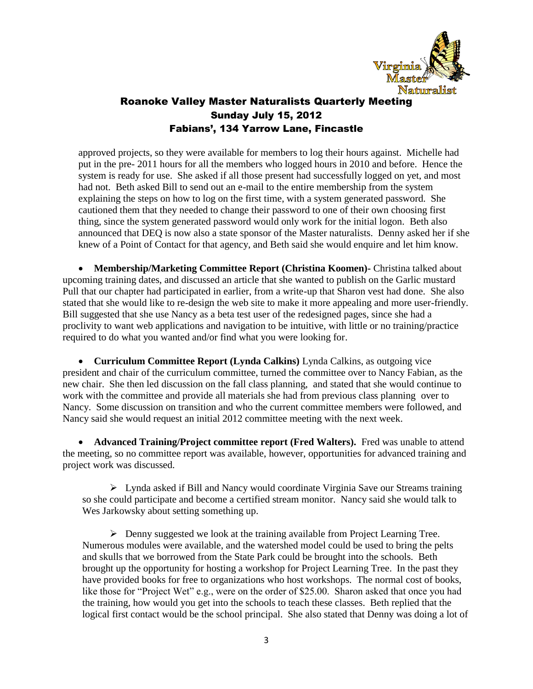

approved projects, so they were available for members to log their hours against. Michelle had put in the pre- 2011 hours for all the members who logged hours in 2010 and before. Hence the system is ready for use. She asked if all those present had successfully logged on yet, and most had not. Beth asked Bill to send out an e-mail to the entire membership from the system explaining the steps on how to log on the first time, with a system generated password. She cautioned them that they needed to change their password to one of their own choosing first thing, since the system generated password would only work for the initial logon. Beth also announced that DEQ is now also a state sponsor of the Master naturalists. Denny asked her if she knew of a Point of Contact for that agency, and Beth said she would enquire and let him know.

 **Membership/Marketing Committee Report (Christina Koomen)-** Christina talked about upcoming training dates, and discussed an article that she wanted to publish on the Garlic mustard Pull that our chapter had participated in earlier, from a write-up that Sharon vest had done. She also stated that she would like to re-design the web site to make it more appealing and more user-friendly. Bill suggested that she use Nancy as a beta test user of the redesigned pages, since she had a proclivity to want web applications and navigation to be intuitive, with little or no training/practice required to do what you wanted and/or find what you were looking for.

 **Curriculum Committee Report (Lynda Calkins)** Lynda Calkins, as outgoing vice president and chair of the curriculum committee, turned the committee over to Nancy Fabian, as the new chair. She then led discussion on the fall class planning, and stated that she would continue to work with the committee and provide all materials she had from previous class planning over to Nancy. Some discussion on transition and who the current committee members were followed, and Nancy said she would request an initial 2012 committee meeting with the next week.

 **Advanced Training/Project committee report (Fred Walters).** Fred was unable to attend the meeting, so no committee report was available, however, opportunities for advanced training and project work was discussed.

 Lynda asked if Bill and Nancy would coordinate Virginia Save our Streams training so she could participate and become a certified stream monitor. Nancy said she would talk to Wes Jarkowsky about setting something up.

 $\triangleright$  Denny suggested we look at the training available from Project Learning Tree. Numerous modules were available, and the watershed model could be used to bring the pelts and skulls that we borrowed from the State Park could be brought into the schools. Beth brought up the opportunity for hosting a workshop for Project Learning Tree. In the past they have provided books for free to organizations who host workshops. The normal cost of books, like those for "Project Wet" e.g., were on the order of \$25.00. Sharon asked that once you had the training, how would you get into the schools to teach these classes. Beth replied that the logical first contact would be the school principal. She also stated that Denny was doing a lot of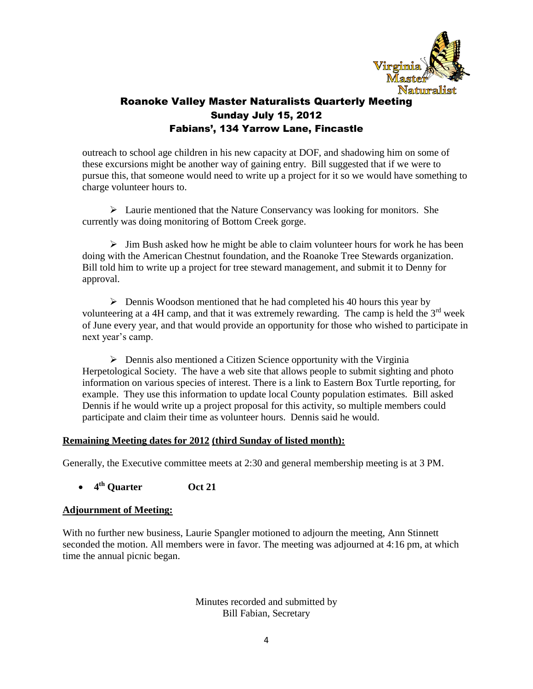

outreach to school age children in his new capacity at DOF, and shadowing him on some of these excursions might be another way of gaining entry. Bill suggested that if we were to pursue this, that someone would need to write up a project for it so we would have something to charge volunteer hours to.

 $\triangleright$  Laurie mentioned that the Nature Conservancy was looking for monitors. She currently was doing monitoring of Bottom Creek gorge.

 $\triangleright$  Jim Bush asked how he might be able to claim volunteer hours for work he has been doing with the American Chestnut foundation, and the Roanoke Tree Stewards organization. Bill told him to write up a project for tree steward management, and submit it to Denny for approval.

 $\triangleright$  Dennis Woodson mentioned that he had completed his 40 hours this year by volunteering at a 4H camp, and that it was extremely rewarding. The camp is held the  $3<sup>rd</sup>$  week of June every year, and that would provide an opportunity for those who wished to participate in next year's camp.

 $\triangleright$  Dennis also mentioned a Citizen Science opportunity with the Virginia Herpetological Society. The have a web site that allows people to submit sighting and photo information on various species of interest. There is a link to Eastern Box Turtle reporting, for example. They use this information to update local County population estimates. Bill asked Dennis if he would write up a project proposal for this activity, so multiple members could participate and claim their time as volunteer hours. Dennis said he would.

#### **Remaining Meeting dates for 2012 (third Sunday of listed month):**

Generally, the Executive committee meets at 2:30 and general membership meeting is at 3 PM.

### **4 th Quarter Oct 21**

#### **Adjournment of Meeting:**

With no further new business, Laurie Spangler motioned to adjourn the meeting, Ann Stinnett seconded the motion. All members were in favor. The meeting was adjourned at 4:16 pm, at which time the annual picnic began.

> Minutes recorded and submitted by Bill Fabian, Secretary